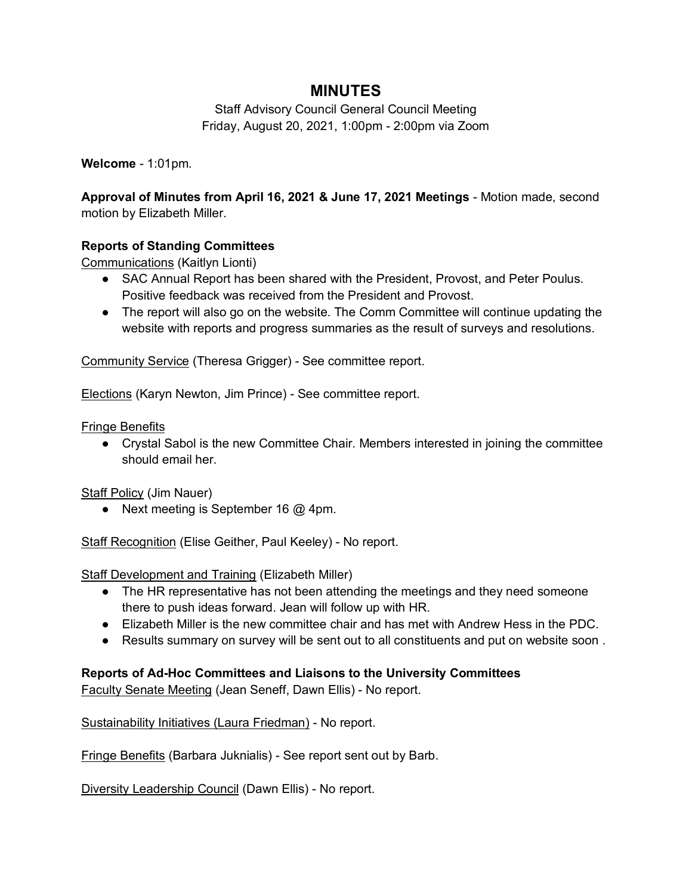# **MINUTES**

Staff Advisory Council General Council Meeting Friday, August 20, 2021, 1:00pm - 2:00pm via Zoom

**Welcome** - 1:01pm.

**Approval of Minutes from April 16, 2021 & June 17, 2021 Meetings** - Motion made, second motion by Elizabeth Miller.

## **Reports of Standing Committees**

Communications (Kaitlyn Lionti)

- SAC Annual Report has been shared with the President, Provost, and Peter Poulus. Positive feedback was received from the President and Provost.
- The report will also go on the website. The Comm Committee will continue updating the website with reports and progress summaries as the result of surveys and resolutions.

Community Service (Theresa Grigger) - See committee report.

Elections (Karyn Newton, Jim Prince) - See committee report.

Fringe Benefits

● Crystal Sabol is the new Committee Chair. Members interested in joining the committee should email her.

Staff Policy (Jim Nauer)

● Next meeting is September 16 @ 4pm.

Staff Recognition (Elise Geither, Paul Keeley) - No report.

Staff Development and Training (Elizabeth Miller)

- The HR representative has not been attending the meetings and they need someone there to push ideas forward. Jean will follow up with HR.
- Elizabeth Miller is the new committee chair and has met with Andrew Hess in the PDC.
- Results summary on survey will be sent out to all constituents and put on website soon.

## **Reports of Ad-Hoc Committees and Liaisons to the University Committees**

Faculty Senate Meeting (Jean Seneff, Dawn Ellis) - No report.

Sustainability Initiatives (Laura Friedman) - No report.

Fringe Benefits (Barbara Juknialis) - See report sent out by Barb.

Diversity Leadership Council (Dawn Ellis) - No report.